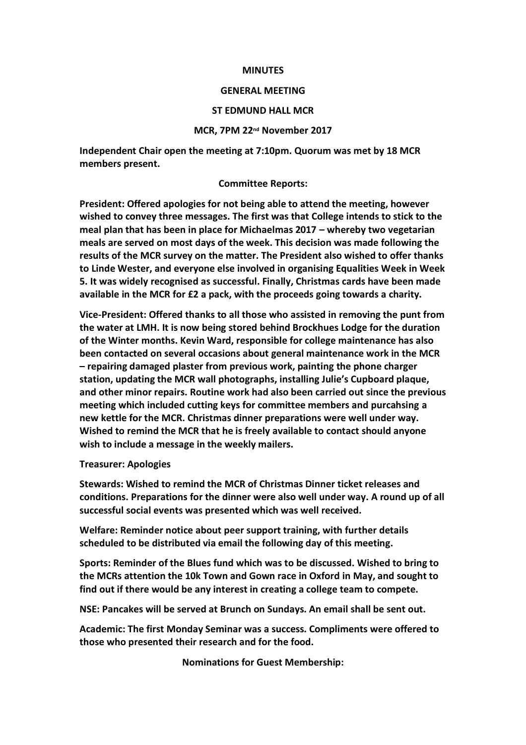## **MINUTES**

## **GENERAL MEETING**

# **ST EDMUND HALL MCR**

## **MCR, 7PM 22nd November 2017**

**Independent Chair open the meeting at 7:10pm. Quorum was met by 18 MCR members present.** 

#### **Committee Reports:**

**President: Offered apologies for not being able to attend the meeting, however wished to convey three messages. The first was that College intends to stick to the meal plan that has been in place for Michaelmas 2017 – whereby two vegetarian meals are served on most days of the week. This decision was made following the results of the MCR survey on the matter. The President also wished to offer thanks to Linde Wester, and everyone else involved in organising Equalities Week in Week 5. It was widely recognised as successful. Finally, Christmas cards have been made available in the MCR for £2 a pack, with the proceeds going towards a charity.** 

**Vice-President: Offered thanks to all those who assisted in removing the punt from the water at LMH. It is now being stored behind Brockhues Lodge for the duration of the Winter months. Kevin Ward, responsible for college maintenance has also been contacted on several occasions about general maintenance work in the MCR – repairing damaged plaster from previous work, painting the phone charger station, updating the MCR wall photographs, installing Julie's Cupboard plaque, and other minor repairs. Routine work had also been carried out since the previous meeting which included cutting keys for committee members and purcahsing a new kettle for the MCR. Christmas dinner preparations were well under way. Wished to remind the MCR that he is freely available to contact should anyone wish to include a message in the weekly mailers.**

#### **Treasurer: Apologies**

**Stewards: Wished to remind the MCR of Christmas Dinner ticket releases and conditions. Preparations for the dinner were also well under way. A round up of all successful social events was presented which was well received.** 

**Welfare: Reminder notice about peer support training, with further details scheduled to be distributed via email the following day of this meeting.** 

**Sports: Reminder of the Blues fund which was to be discussed. Wished to bring to the MCRs attention the 10k Town and Gown race in Oxford in May, and sought to find out if there would be any interest in creating a college team to compete.** 

**NSE: Pancakes will be served at Brunch on Sundays. An email shall be sent out.**

**Academic: The first Monday Seminar was a success. Compliments were offered to those who presented their research and for the food.** 

**Nominations for Guest Membership:**